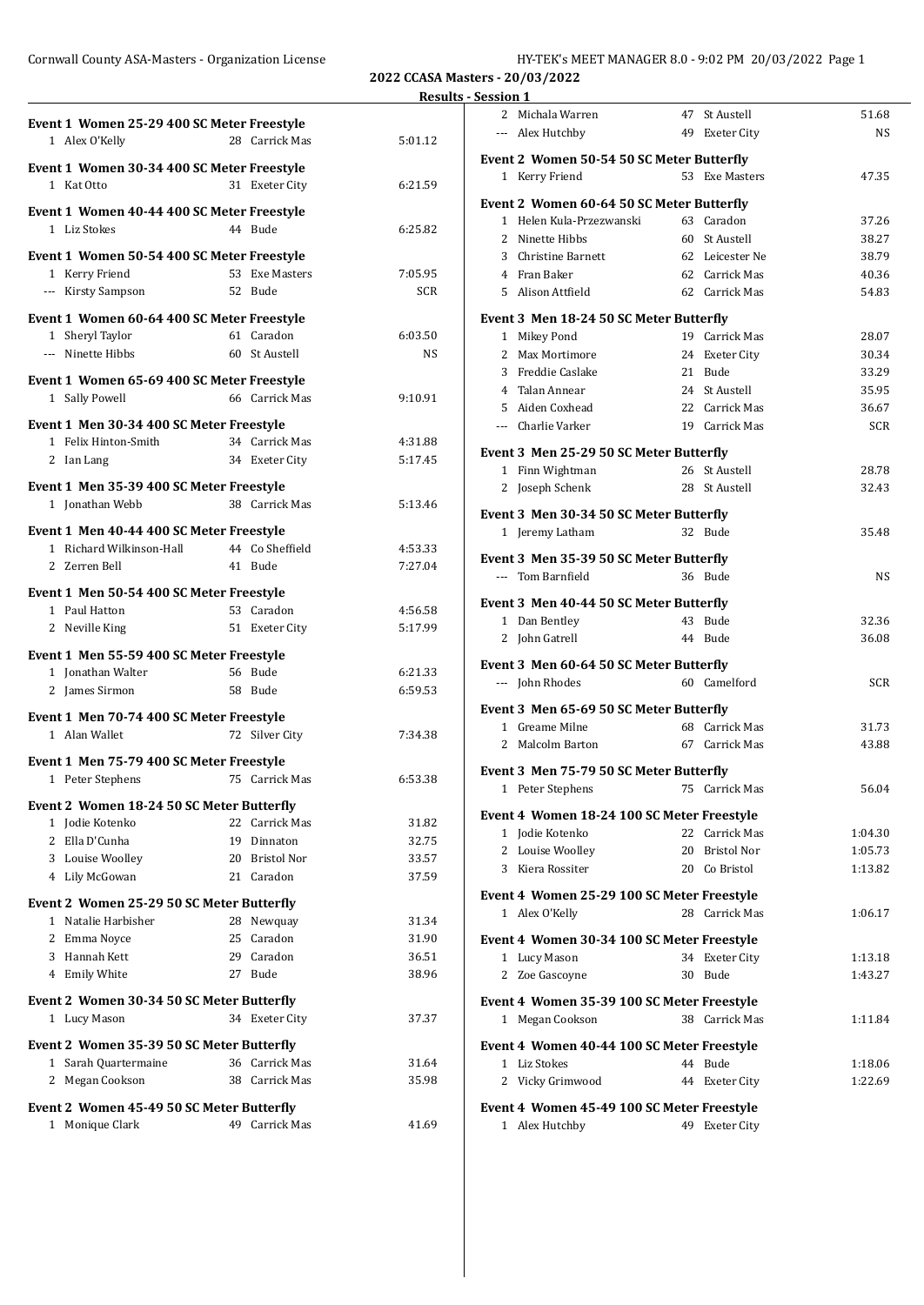**2022 CCASA Masters - 20/03/2022**

|                                                                  |                 |                    | <b>Results - Session 1</b> |
|------------------------------------------------------------------|-----------------|--------------------|----------------------------|
| Event 1 Women 25-29 400 SC Meter Freestyle                       |                 |                    | 2 Mic                      |
| 1 Alex O'Kelly                                                   | 28 Carrick Mas  | 5:01.12            | --- Ale:                   |
|                                                                  |                 |                    | Event 2 \                  |
| Event 1 Women 30-34 400 SC Meter Freestyle<br>1 Kat Otto         | 31 Exeter City  | 6:21.59            | 1 Ker                      |
|                                                                  |                 |                    | Event 2 \                  |
| Event 1 Women 40-44 400 SC Meter Freestyle                       |                 |                    | 1 Hel                      |
| 1 Liz Stokes                                                     | 44 Bude         | 6:25.82            | 2 Nin                      |
| Event 1 Women 50-54 400 SC Meter Freestyle                       |                 |                    | 3 Chr                      |
| 1 Kerry Friend                                                   | 53 Exe Masters  | 7:05.95            | 4 Fra                      |
| --- Kirsty Sampson                                               | 52 Bude         | <b>SCR</b>         | 5 Alis                     |
| Event 1 Women 60-64 400 SC Meter Freestyle                       |                 |                    | Event 3 N                  |
| 1 Sheryl Taylor                                                  | 61 Caradon      | 6:03.50            | 1 Mik                      |
| --- Ninette Hibbs                                                | 60 St Austell   | NS                 | 2 Max                      |
| Event 1 Women 65-69 400 SC Meter Freestyle                       |                 |                    | 3 Fre                      |
| 1 Sally Powell                                                   | 66 Carrick Mas  | 9:10.91            | 4 Tala                     |
|                                                                  |                 |                    | 5 Aid                      |
| Event 1 Men 30-34 400 SC Meter Freestyle                         |                 |                    | --- Cha                    |
| 1 Felix Hinton-Smith                                             | 34 Carrick Mas  | 4:31.88            | Event 3 N                  |
| 2 Ian Lang                                                       | 34 Exeter City  | 5:17.45            | 1 Fin                      |
| Event 1 Men 35-39 400 SC Meter Freestyle                         |                 |                    | 2 $\log$                   |
| 1 Jonathan Webb                                                  | 38 Carrick Mas  | 5:13.46            | Event 3 N                  |
| Event 1 Men 40-44 400 SC Meter Freestyle                         |                 |                    | $1$ Jere                   |
| 1 Richard Wilkinson-Hall                                         | 44 Co Sheffield | 4:53.33            |                            |
| 2 Zerren Bell                                                    | 41 Bude         | 7:27.04            | Event 3 N                  |
| Event 1 Men 50-54 400 SC Meter Freestyle                         |                 |                    | --- Ton                    |
| 1 Paul Hatton                                                    | 53 Caradon      | 4:56.58            | Event 3 N                  |
| 2 Neville King                                                   | 51 Exeter City  | 5:17.99            | 1 Dar                      |
|                                                                  |                 |                    | 2 Joh                      |
| Event 1 Men 55-59 400 SC Meter Freestyle                         |                 |                    | Event 3 N                  |
| 1 Jonathan Walter                                                | 56 Bude         | 6:21.33<br>6:59.53 | --- Joh                    |
| 2 James Sirmon                                                   | 58 Bude         |                    | Event 3 N                  |
| Event 1 Men 70-74 400 SC Meter Freestyle                         |                 |                    | 1 Gre                      |
| 1 Alan Wallet                                                    | 72 Silver City  | 7:34.38            | 2 Mal                      |
| Event 1 Men 75-79 400 SC Meter Freestyle                         |                 |                    |                            |
| 1 Peter Stephens                                                 | 75 Carrick Mas  | 6:53.38            | Event 3 N                  |
| Event 2 Women 18-24 50 SC Meter Butterfly                        |                 |                    | 1 Pet                      |
| 1 Jodie Kotenko                                                  | 22 Carrick Mas  | 31.82              | Event 4 \                  |
| 2 Ella D'Cunha                                                   | 19 Dinnaton     | 32.75              | $1$ Jod:                   |
| 3 Louise Woolley                                                 | 20 Bristol Nor  | 33.57              | 2 Lou                      |
| 4 Lily McGowan                                                   | 21 Caradon      | 37.59              | 3 Kie                      |
|                                                                  |                 |                    | Event 4 \                  |
| Event 2 Women 25-29 50 SC Meter Butterfly<br>1 Natalie Harbisher | 28 Newquay      | 31.34              | 1 Ale:                     |
| 2 Emma Noyce                                                     | 25 Caradon      | 31.90              | Event 4 \                  |
| 3 Hannah Kett                                                    | 29 Caradon      | 36.51              | 1 Luc                      |
| 4 Emily White                                                    | 27 Bude         | 38.96              | 2 Zoe                      |
|                                                                  |                 |                    |                            |
| Event 2 Women 30-34 50 SC Meter Butterfly                        |                 |                    | Event 4 \                  |
| 1 Lucy Mason                                                     | 34 Exeter City  | 37.37              | 1 Meg                      |
| Event 2 Women 35-39 50 SC Meter Butterfly                        |                 |                    | Event 4 \                  |
| 1 Sarah Quartermaine                                             | 36 Carrick Mas  | 31.64              | 1 Liz                      |
| 2 Megan Cookson                                                  | 38 Carrick Mas  | 35.98              | 2 Vicl                     |
| Event 2 Women 45-49 50 SC Meter Butterfly                        |                 |                    | Event 4 \                  |
| 1 Monique Clark                                                  | 49 Carrick Mas  | 41.69              | 1 Ale:                     |
|                                                                  |                 |                    |                            |

|                                            | 2 Michala Warren                                             |    | 47 St Austell   | 51.68      |
|--------------------------------------------|--------------------------------------------------------------|----|-----------------|------------|
|                                            | --- Alex Hutchby                                             |    | 49 Exeter City  | NS         |
|                                            |                                                              |    |                 |            |
|                                            | Event 2 Women 50-54 50 SC Meter Butterfly                    |    | 53 Exe Masters  | 47.35      |
|                                            | 1 Kerry Friend                                               |    |                 |            |
|                                            | Event 2 Women 60-64 50 SC Meter Butterfly                    |    |                 |            |
|                                            | 1 Helen Kula-Przezwanski                                     | 63 | Caradon         | 37.26      |
|                                            | 2 Ninette Hibbs                                              | 60 | St Austell      | 38.27      |
|                                            | 3 Christine Barnett                                          |    | 62 Leicester Ne | 38.79      |
|                                            | 4 Fran Baker                                                 |    | 62 Carrick Mas  | 40.36      |
|                                            | 5 Alison Attfield                                            |    | 62 Carrick Mas  | 54.83      |
|                                            | Event 3 Men 18-24 50 SC Meter Butterfly                      |    |                 |            |
|                                            | 1 Mikey Pond                                                 |    | 19 Carrick Mas  | 28.07      |
|                                            | 2 Max Mortimore                                              |    | 24 Exeter City  | 30.34      |
|                                            | 3 Freddie Caslake                                            |    | 21 Bude         | 33.29      |
|                                            | 4 Talan Annear                                               |    | 24 St Austell   | 35.95      |
|                                            | 5 Aiden Coxhead                                              |    | 22 Carrick Mas  | 36.67      |
|                                            | --- Charlie Varker                                           |    | 19 Carrick Mas  | <b>SCR</b> |
|                                            |                                                              |    |                 |            |
|                                            | Event 3 Men 25-29 50 SC Meter Butterfly                      |    |                 |            |
|                                            | 1 Finn Wightman                                              |    | 26 St Austell   | 28.78      |
|                                            | 2 Joseph Schenk                                              |    | 28 St Austell   | 32.43      |
|                                            | Event 3 Men 30-34 50 SC Meter Butterfly                      |    |                 |            |
|                                            | 1 Jeremy Latham                                              |    | 32 Bude         | 35.48      |
|                                            |                                                              |    |                 |            |
|                                            | Event 3 Men 35-39 50 SC Meter Butterfly<br>--- Tom Barnfield |    | 36 Bude         | NS         |
|                                            |                                                              |    |                 |            |
|                                            | Event 3 Men 40-44 50 SC Meter Butterfly                      |    |                 |            |
|                                            | 1 Dan Bentley                                                |    | 43 Bude         | 32.36      |
|                                            | 2 John Gatrell                                               |    | 44 Bude         | 36.08      |
|                                            | Event 3 Men 60-64 50 SC Meter Butterfly                      |    |                 |            |
|                                            | --- John Rhodes                                              |    | 60 Camelford    | SCR        |
|                                            |                                                              |    |                 |            |
|                                            | Event 3 Men 65-69 50 SC Meter Butterfly                      |    |                 |            |
|                                            | 1 Greame Milne                                               |    | 68 Carrick Mas  | 31.73      |
|                                            | 2 Malcolm Barton                                             |    | 67 Carrick Mas  | 43.88      |
|                                            | Event 3 Men 75-79 50 SC Meter Butterfly                      |    |                 |            |
|                                            | 1 Peter Stephens                                             |    | 75 Carrick Mas  | 56.04      |
|                                            | Event 4 Women 18-24 100 SC Meter Freestyle                   |    |                 |            |
|                                            | 1 Jodie Kotenko                                              |    | 22 Carrick Mas  | 1:04.30    |
|                                            | 2 Louise Woolley                                             |    | 20 Bristol Nor  | 1:05.73    |
|                                            | 3 Kiera Rossiter                                             |    | 20 Co Bristol   | 1:13.82    |
|                                            |                                                              |    |                 |            |
|                                            | Event 4 Women 25-29 100 SC Meter Freestyle                   |    |                 |            |
|                                            | 1 Alex O'Kelly                                               |    | 28 Carrick Mas  | 1:06.17    |
|                                            | Event 4 Women 30-34 100 SC Meter Freestyle                   |    |                 |            |
|                                            | 1 Lucy Mason                                                 |    | 34 Exeter City  | 1:13.18    |
|                                            | 2 Zoe Gascoyne                                               |    | 30 Bude         | 1:43.27    |
|                                            |                                                              |    |                 |            |
|                                            | Event 4 Women 35-39 100 SC Meter Freestyle                   |    |                 |            |
|                                            | 1 Megan Cookson                                              |    | 38 Carrick Mas  | 1:11.84    |
| Event 4 Women 40-44 100 SC Meter Freestyle |                                                              |    |                 |            |
|                                            | 1 Liz Stokes                                                 |    | 44 Bude         | 1:18.06    |
|                                            |                                                              |    |                 |            |
| Event 4 Women 45-49 100 SC Meter Freestyle |                                                              |    |                 | 1:22.69    |
|                                            | 2 Vicky Grimwood                                             |    | 44 Exeter City  |            |
|                                            | 1 Alex Hutchby                                               |    | 49 Exeter City  |            |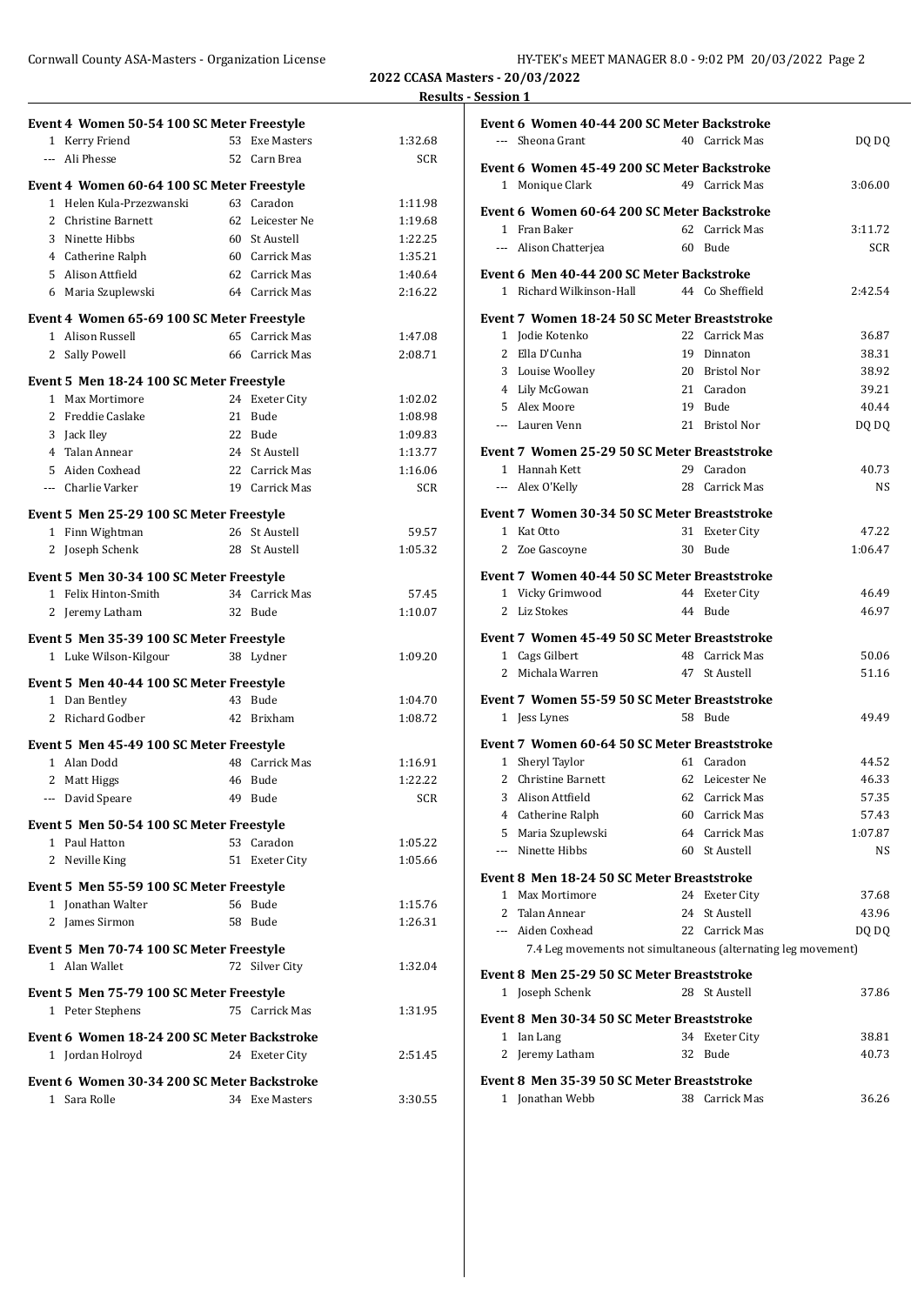| Cornwall County ASA-Masters - Organization License | HY-TEK's MEET MANAGER 8.0 - 9:02 PM 20/03/2022 Page 2 |
|----------------------------------------------------|-------------------------------------------------------|
|----------------------------------------------------|-------------------------------------------------------|

**2022 CCASA Masters - 20/03/2022 Results - Session 1**

| Event 4 Women 50-54 100 SC Meter Freestyle                     |                 |         |
|----------------------------------------------------------------|-----------------|---------|
| 1 Kerry Friend                                                 | 53 Exe Masters  | 1:32.68 |
| --- Ali Phesse                                                 | 52 Carn Brea    | SCR     |
| Event 4 Women 60-64 100 SC Meter Freestyle                     |                 |         |
| 1 Helen Kula-Przezwanski                                       | 63 Caradon      | 1:11.98 |
| 2 Christine Barnett                                            | 62 Leicester Ne | 1:19.68 |
| 3 Ninette Hibbs                                                | 60 St Austell   | 1:22.25 |
| 4 Catherine Ralph                                              | 60 Carrick Mas  | 1:35.21 |
| 5 Alison Attfield                                              | 62 Carrick Mas  | 1:40.64 |
| 6 Maria Szuplewski                                             | 64 Carrick Mas  | 2:16.22 |
|                                                                |                 |         |
| Event 4 Women 65-69 100 SC Meter Freestyle<br>1 Alison Russell | 65 Carrick Mas  | 1:47.08 |
| 2 Sally Powell                                                 | 66 Carrick Mas  | 2:08.71 |
|                                                                |                 |         |
| Event 5 Men 18-24 100 SC Meter Freestyle                       |                 |         |
| 1 Max Mortimore                                                | 24 Exeter City  | 1:02.02 |
| 2 Freddie Caslake                                              | 21 Bude         | 1:08.98 |
| 3 Jack Iley                                                    | 22 Bude         | 1:09.83 |
| 4 Talan Annear                                                 | 24 St Austell   | 1:13.77 |
| 5 Aiden Coxhead                                                | 22 Carrick Mas  | 1:16.06 |
| --- Charlie Varker                                             | 19 Carrick Mas  | SCR     |
| Event 5 Men 25-29 100 SC Meter Freestyle                       |                 |         |
| 1 Finn Wightman                                                | 26 St Austell   | 59.57   |
| 2 Joseph Schenk                                                | 28 St Austell   | 1:05.32 |
| Event 5 Men 30-34 100 SC Meter Freestyle                       |                 |         |
| 1 Felix Hinton-Smith                                           | 34 Carrick Mas  | 57.45   |
| 2 Jeremy Latham                                                | 32 Bude         | 1:10.07 |
|                                                                |                 |         |
| Event 5 Men 35-39 100 SC Meter Freestyle                       |                 |         |
| 1 Luke Wilson-Kilgour                                          | 38 Lydner       | 1:09.20 |
| Event 5 Men 40-44 100 SC Meter Freestyle                       |                 |         |
| 1 Dan Bentley                                                  | 43 Bude         | 1:04.70 |
| 2 Richard Godber                                               | 42 Brixham      | 1:08.72 |
| Event 5 Men 45-49 100 SC Meter Freestyle                       |                 |         |
| 1 Alan Dodd                                                    | 48 Carrick Mas  | 1:16.91 |
| 2 Matt Higgs                                                   | 46 Bude         | 1:22.22 |
| --- David Speare                                               | 49 Bude         | SCR     |
|                                                                |                 |         |
| Event 5 Men 50-54 100 SC Meter Freestyle<br>1 Paul Hatton      | 53 Caradon      | 1:05.22 |
| 2 Neville King                                                 | 51 Exeter City  | 1:05.66 |
|                                                                |                 |         |
| Event 5 Men 55-59 100 SC Meter Freestyle                       |                 |         |
| 1 Jonathan Walter                                              | 56 Bude         | 1:15.76 |
| 2 James Sirmon                                                 | 58 Bude         | 1:26.31 |
| Event 5 Men 70-74 100 SC Meter Freestyle                       |                 |         |
| 1 Alan Wallet                                                  | 72 Silver City  | 1:32.04 |
|                                                                |                 |         |
| Event 5 Men 75-79 100 SC Meter Freestyle                       |                 |         |
| 1 Peter Stephens                                               | 75 Carrick Mas  | 1:31.95 |
| Event 6 Women 18-24 200 SC Meter Backstroke                    |                 |         |
| 1 Jordan Holroyd                                               | 24 Exeter City  | 2:51.45 |
| Event 6 Women 30-34 200 SC Meter Backstroke                    |                 |         |
| 1 Sara Rolle                                                   | 34 Exe Masters  | 3:30.55 |
|                                                                |                 |         |

| Event 6 Women 40-44 200 SC Meter Backstroke                   |    |                              |              |  |
|---------------------------------------------------------------|----|------------------------------|--------------|--|
| --- Sheona Grant                                              |    | 40 Carrick Mas               | DQ DQ        |  |
| Event 6 Women 45-49 200 SC Meter Backstroke                   |    |                              |              |  |
| 1 Monique Clark                                               |    | 49 Carrick Mas               | 3:06.00      |  |
|                                                               |    |                              |              |  |
| Event 6 Women 60-64 200 SC Meter Backstroke                   |    |                              |              |  |
| 1 Fran Baker                                                  |    | 62 Carrick Mas               | 3:11.72      |  |
| --- Alison Chatterjea                                         |    | 60 Bude                      | <b>SCR</b>   |  |
| Event 6 Men 40-44 200 SC Meter Backstroke                     |    |                              |              |  |
| 1 Richard Wilkinson-Hall                                      |    | 44 Co Sheffield              | 2:42.54      |  |
| Event 7 Women 18-24 50 SC Meter Breaststroke                  |    |                              |              |  |
| 1 Jodie Kotenko                                               |    | 22 Carrick Mas               | 36.87        |  |
| 2 Ella D'Cunha                                                |    | 19 Dinnaton                  | 38.31        |  |
| 3 Louise Woolley                                              |    | 20 Bristol Nor               | 38.92        |  |
| 4 Lily McGowan                                                |    | 21 Caradon                   | 39.21        |  |
| 5 Alex Moore                                                  |    | 19 Bude                      | 40.44        |  |
| --- Lauren Venn                                               |    | 21 Bristol Nor               | DO DO        |  |
|                                                               |    |                              |              |  |
| Event 7 Women 25-29 50 SC Meter Breaststroke                  |    |                              |              |  |
| 1 Hannah Kett                                                 |    | 29 Caradon<br>28 Carrick Mas | 40.73<br>NS. |  |
| --- Alex O'Kelly                                              |    |                              |              |  |
| Event 7 Women 30-34 50 SC Meter Breaststroke                  |    |                              |              |  |
| 1 Kat Otto                                                    |    | 31 Exeter City               | 47.22        |  |
| 2 Zoe Gascoyne                                                |    | 30 Bude                      | 1:06.47      |  |
| Event 7 Women 40-44 50 SC Meter Breaststroke                  |    |                              |              |  |
| 1 Vicky Grimwood                                              |    | 44 Exeter City               | 46.49        |  |
| 2 Liz Stokes                                                  |    | 44 Bude                      | 46.97        |  |
|                                                               |    |                              |              |  |
| Event 7 Women 45-49 50 SC Meter Breaststroke                  |    |                              |              |  |
| 1 Cags Gilbert                                                |    | 48 Carrick Mas               | 50.06        |  |
| 2 Michala Warren                                              |    | 47 St Austell                | 51.16        |  |
| Event 7 Women 55-59 50 SC Meter Breaststroke                  |    |                              |              |  |
| 1 Jess Lynes                                                  |    | 58 Bude                      | 49.49        |  |
| Event 7 Women 60-64 50 SC Meter Breaststroke                  |    |                              |              |  |
| 1 Sheryl Taylor                                               |    | 61 Caradon                   | 44.52        |  |
| 2 Christine Barnett                                           |    | 62 Leicester Ne              | 46.33        |  |
| 3 Alison Attfield                                             |    | 62 Carrick Mas               | 57.35        |  |
| 4 Catherine Ralph                                             |    | 60 Carrick Mas               | 57.43        |  |
| 5 Maria Szuplewski                                            |    | 64 Carrick Mas               | 1:07.87      |  |
| --- Ninette Hibbs                                             |    | 60 St Austell                | NS           |  |
|                                                               |    |                              |              |  |
| Event 8 Men 18-24 50 SC Meter Breaststroke                    |    |                              |              |  |
| 1 Max Mortimore                                               |    | 24 Exeter City               | 37.68        |  |
| 2 Talan Annear<br>--- Aiden Coxhead                           |    | 24 St Austell                | 43.96        |  |
|                                                               |    | 22 Carrick Mas               | DO DO        |  |
| 7.4 Leg movements not simultaneous (alternating leg movement) |    |                              |              |  |
| Event 8 Men 25-29 50 SC Meter Breaststroke                    |    |                              |              |  |
| 1 Joseph Schenk                                               |    | 28 St Austell                | 37.86        |  |
| Event 8 Men 30-34 50 SC Meter Breaststroke                    |    |                              |              |  |
| 1 Ian Lang                                                    |    | 34 Exeter City               | 38.81        |  |
| 2 Jeremy Latham                                               | 32 | Bude                         | 40.73        |  |
|                                                               |    |                              |              |  |
| Event 8 Men 35-39 50 SC Meter Breaststroke                    |    |                              |              |  |
| 1 Jonathan Webb                                               |    | 38 Carrick Mas               | 36.26        |  |